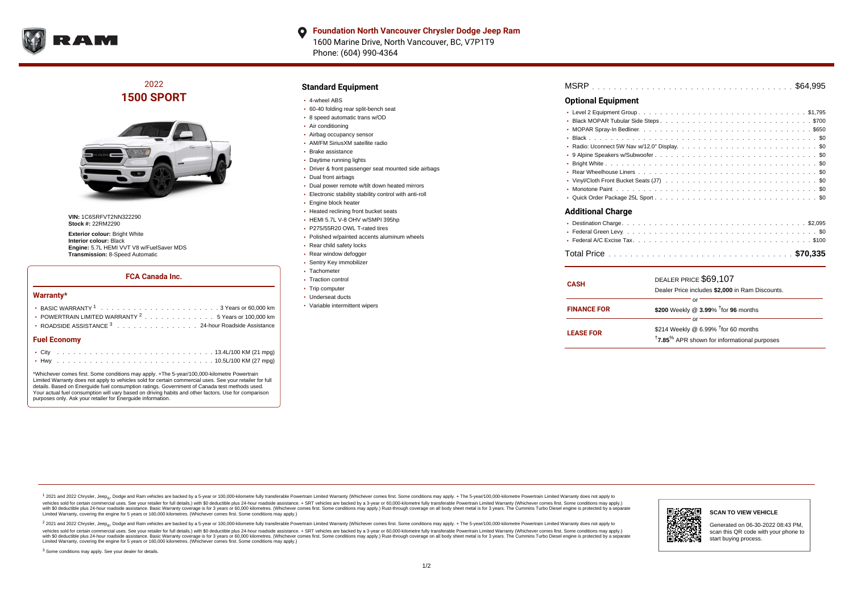

### **Foundation North Vancouver Chrysler Dodge Jeep Ram**  $\bullet$ 1600 Marine Drive, North Vancouver, BC, V7P1T9 Phone: (604) 990-4364

## 2022 **1500 SPORT**



**VIN:** 1C6SRFVT2NN322290 **Stock #:** 22RM2290

**Exterior colour: Bright White Interior colour:** Black **Engine:** 5.7L HEMI VVT V8 w/FuelSaver MDS **Transmission:** 8-Speed Automatic

## **FCA Canada Inc.**

#### **Warranty\***

| <b>Fuel Economy</b>                                                                              |  |  |  |  |  |  |  |
|--------------------------------------------------------------------------------------------------|--|--|--|--|--|--|--|
| ROADSIDE ASSISTANCE 3 24-hour Roadside Assistance                                                |  |  |  |  |  |  |  |
| • POWERTRAIN LIMITED WARRANTY <sup>2</sup> 5 Years or 100,000 km                                 |  |  |  |  |  |  |  |
| BASIC WARRANTY $1, \ldots, \ldots, \ldots, \ldots, \ldots, \ldots, \ldots, 3$ Years or 60.000 km |  |  |  |  |  |  |  |
|                                                                                                  |  |  |  |  |  |  |  |

\*Whichever comes first. Some conditions may apply. +The 5-year/100,000-kilometre Powertrain Limited Warranty does not apply to vehicles sold for certain commercial uses. See your retailer for full details. Based on Energuide fuel consumption ratings. Government of Canada test methods used. Your actual fuel consumption will vary based on driving habits and other factors. Use for comparison purposes only. Ask your retailer for Energuide information.

## **Standard Equipment**

- 4-wheel ABS
- 60-40 folding rear split-bench seat
- 8 speed automatic trans w/OD
- Air conditioning
- Airbag occupancy sensor
- AM/FM SiriusXM satellite radio Brake assistance
- 
- Daytime running lights
- Driver & front passenger seat mounted side airbags
- Dual front airbags
- Dual power remote w/tilt down heated mirrors
- Electronic stability stability control with anti-roll
- Engine block heater
- Heated reclining front bucket seats
- HEMI 5.7L V-8 OHV w/SMPI 395hp
- P275/55R20 OWL T-rated tires
- Polished w/painted accents aluminum wheels
- Rear child safety locks
- Rear window defogger
- Sentry Key immobilizer
- Tachometer
- Traction control
- Trip computer
- Underseat ducts
- Variable intermittent wipers

| <b>Optional Equipment</b> |
|---------------------------|
|                           |
|                           |
|                           |
|                           |
|                           |
|                           |
|                           |
|                           |
|                           |
|                           |
|                           |
| <b>Additional Charge</b>  |
|                           |
|                           |
|                           |
|                           |
| $\cdots$                  |

| <b>CASH</b>        | DEALER PRICE \$69,107                                               |  |  |  |  |  |  |  |  |  |
|--------------------|---------------------------------------------------------------------|--|--|--|--|--|--|--|--|--|
|                    | Dealer Price includes \$2,000 in Ram Discounts.                     |  |  |  |  |  |  |  |  |  |
|                    | or                                                                  |  |  |  |  |  |  |  |  |  |
| <b>FINANCE FOR</b> | \$200 Weekly @ 3.99% <sup>t</sup> for 96 months                     |  |  |  |  |  |  |  |  |  |
|                    | or                                                                  |  |  |  |  |  |  |  |  |  |
| <b>LEASE FOR</b>   | \$214 Weekly @ 6.99% <sup>t</sup> for 60 months                     |  |  |  |  |  |  |  |  |  |
|                    | <sup>†</sup> 7.85 <sup>%</sup> APR shown for informational purposes |  |  |  |  |  |  |  |  |  |
|                    |                                                                     |  |  |  |  |  |  |  |  |  |

1 2021 and 2022 Chrysler, Jeep<sub>en</sub> Dodge and Ram vehicles are backed by a 5-year or 100,000-kilometre fully transferable Powertrain Limited Warranty (Whichever comes first. Some conditions may apply. + The 5-year/100,000-k vehicles sold for certain commercial uses. See your retailer for full details.) with \$0 deductible plus 24-hour roadside assistance. + SRT vehicles are backed by a 3-year or 60,000-kilometre fully transferable Powertrain L versus and contract the mean of the contract of the contract with a contract with a contract the contract of the search of the contract and a control of the contract and contract and control of the search of the search of Limited Warranty, covering the engine for 5 years or 160,000 kilometres. (Whichever comes first. Some conditions may apply.)

<sup>2</sup> 2021 and 2022 Chrysler, Jeep<sub>®</sub>, Dodge and Ram vehicles are backed by a 5-year or 100,000-kilometre fully transferable Powertrain Limited Warranty (Whichever comes first. Some conditions may apply. + The 5-year/100,000 vehicles sold for certain commercial uses. See your retailer for full details.) with SO deductible plus 24-hour roadside assistance. + SRT vehicles are backed by a 3-year or 60.000-kilometre fully transferable Powertrain. with S0 deductible plus 24-hour roadside assistance. Basic Warranty coverage is for 3 years or 60,000 kilometres. (Whichever comes first. Some conditions may apply.) Rust-through coverage on all body sheet metal is for 3 y





Generated on 06-30-2022 08:43 PM, scan this QR code with your phone to